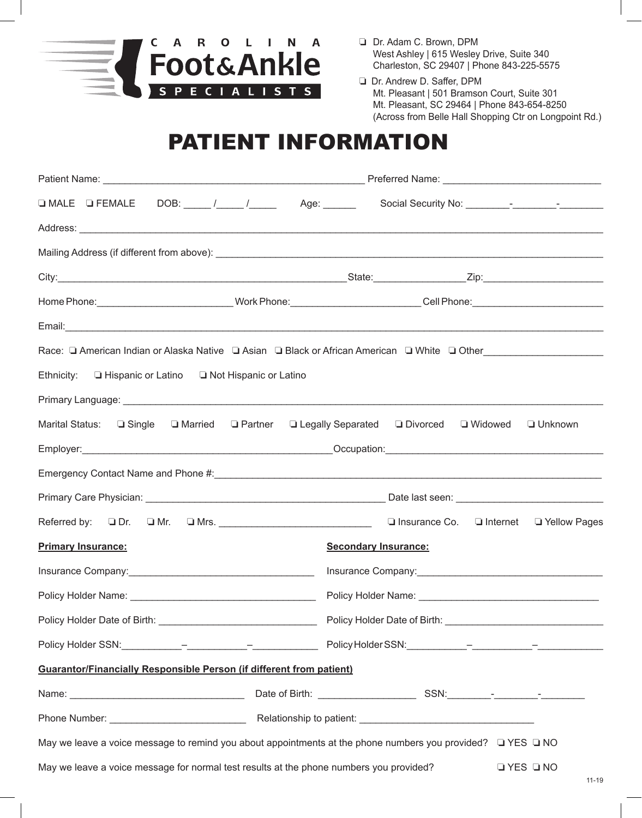

- ❏ Dr. Adam C. Brown, DPM West Ashley | 615 Wesley Drive, Suite 340 Charleston, SC 29407 | Phone 843-225-5575
- ❏ Dr. Andrew D. Saffer, DPM Mt. Pleasant | 501 Bramson Court, Suite 301 Mt. Pleasant, SC 29464 | Phone 843-654-8250 (Across from Belle Hall Shopping Ctr on Longpoint Rd.)

# PATIENT INFORMATION

|                                                                                                                             | Home Phone: ______________________________Work Phone: ___________________________Cell Phone: _______________________ |  |  |  |  |
|-----------------------------------------------------------------------------------------------------------------------------|----------------------------------------------------------------------------------------------------------------------|--|--|--|--|
| Email: <u>Alexander Alexander Alexander Alexander Alexander Alexander Alexander Alexander Alexander Alexander Alexander</u> |                                                                                                                      |  |  |  |  |
|                                                                                                                             | Race: Q American Indian or Alaska Native Q Asian Q Black or African American Q White Q Other Conter Conter Conte     |  |  |  |  |
| Ethnicity: <b>Lating</b> Ethnicity: University or Lating and Lating Ethnicity:                                              |                                                                                                                      |  |  |  |  |
|                                                                                                                             |                                                                                                                      |  |  |  |  |
| Marital Status: $\Box$ Single $\Box$ Married $\Box$ Partner $\Box$ Legally Separated $\Box$ Divorced $\Box$ Widowed         | <b>Unknown</b>                                                                                                       |  |  |  |  |
|                                                                                                                             |                                                                                                                      |  |  |  |  |
|                                                                                                                             |                                                                                                                      |  |  |  |  |
|                                                                                                                             |                                                                                                                      |  |  |  |  |
|                                                                                                                             |                                                                                                                      |  |  |  |  |
| <b>Primary Insurance:</b>                                                                                                   | <b>Secondary Insurance:</b>                                                                                          |  |  |  |  |
| Insurance Company: 1990 March 1990 March 1990 March 1990 March 1990 March 1990 March 1990 March 1990 March 1990             |                                                                                                                      |  |  |  |  |
|                                                                                                                             |                                                                                                                      |  |  |  |  |
|                                                                                                                             |                                                                                                                      |  |  |  |  |
|                                                                                                                             |                                                                                                                      |  |  |  |  |
| <b>Guarantor/Financially Responsible Person (if different from patient)</b>                                                 |                                                                                                                      |  |  |  |  |
|                                                                                                                             |                                                                                                                      |  |  |  |  |
|                                                                                                                             |                                                                                                                      |  |  |  |  |
| May we leave a voice message to remind you about appointments at the phone numbers you provided? $\Box$ YES $\Box$ NO       |                                                                                                                      |  |  |  |  |
| May we leave a voice message for normal test results at the phone numbers you provided?                                     | $\Box$ YES $\Box$ NO                                                                                                 |  |  |  |  |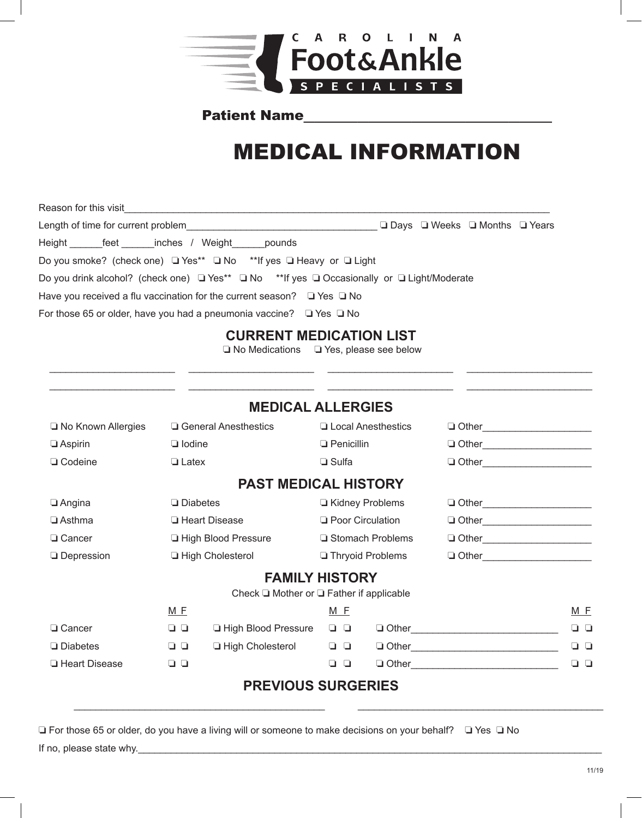

## Patient Name

# MEDICAL INFORMATION

Reason for this visit\_\_\_\_\_\_\_\_\_\_\_\_\_\_\_\_\_\_\_\_\_\_\_\_\_\_\_\_\_\_\_\_\_\_\_\_\_\_\_\_\_\_\_\_\_\_\_\_\_\_\_\_\_\_\_\_\_\_\_\_\_\_\_\_\_\_\_\_\_\_\_\_\_\_\_\_\_\_ Length of time for current problem\_\_\_\_\_\_\_\_\_\_\_\_\_\_\_\_\_\_\_\_\_\_\_\_\_\_\_\_\_\_\_\_\_\_\_ o Days o Weeks o Months o Years Height \_\_\_\_\_\_\_feet \_\_\_\_\_\_inches / Weight \_\_\_\_\_pounds Do you smoke? (check one)  $\Box$  Yes\*\*  $\Box$  No \*\*If yes  $\Box$  Heavy or  $\Box$  Light Do you drink alcohol? (check one)  $\Box$  Yes\*\*  $\Box$  No \*\*If yes  $\Box$  Occasionally or  $\Box$  Light/Moderate Have you received a flu vaccination for the current season?  $\Box$  Yes  $\Box$  No For those 65 or older, have you had a pneumonia vaccine?  $\Box$  Yes  $\Box$  No

### **CURRENT MEDICATION LIST**

 $\Box$  No Medications  $\Box$  Yes, please see below \_\_\_\_\_\_\_\_\_\_\_\_\_\_\_\_\_\_\_\_\_\_\_ \_\_\_\_\_\_\_\_\_\_\_\_\_\_\_\_\_\_\_\_\_\_\_ \_\_\_\_\_\_\_\_\_\_\_\_\_\_\_\_\_\_\_\_\_\_\_ \_\_\_\_\_\_\_\_\_\_\_\_\_\_\_\_\_\_\_\_\_\_\_

| <b>MEDICAL ALLERGIES</b>                           |                 |                               |                           |                      |                                   |        |  |
|----------------------------------------------------|-----------------|-------------------------------|---------------------------|----------------------|-----------------------------------|--------|--|
| □ No Known Allergies                               |                 | $\Box$ General Anesthestics   |                           | □ Local Anesthestics |                                   |        |  |
| $\Box$ Aspirin                                     | $\Box$ lodine   |                               | $\Box$ Penicillin         |                      | □ Other________________________   |        |  |
| $\Box$ Codeine                                     | $\Box$ Latex    |                               | $\Box$ Sulfa              |                      |                                   |        |  |
| <b>PAST MEDICAL HISTORY</b>                        |                 |                               |                           |                      |                                   |        |  |
| $\Box$ Angina                                      | $\Box$ Diabetes |                               | Kidney Problems           |                      |                                   |        |  |
| $\Box$ Asthma                                      |                 | □ Heart Disease               | <b>Q</b> Poor Circulation |                      | □ Other________________________   |        |  |
| $\Box$ Cancer                                      |                 | <b>La High Blood Pressure</b> |                           | □ Stomach Problems   | □ Other_________________________  |        |  |
| $\Box$ Depression                                  |                 | □ High Cholesterol            |                           | □ Thryoid Problems   | □ Other__________________________ |        |  |
| <b>FAMILY HISTORY</b>                              |                 |                               |                           |                      |                                   |        |  |
| Check $\Box$ Mother or $\Box$ Father if applicable |                 |                               |                           |                      |                                   |        |  |
|                                                    | M F             |                               | $M$ E                     |                      |                                   | M F    |  |
| □ Cancer                                           | $\Box$          | □ High Blood Pressure         | $\Box$                    |                      | $\Box$ Other                      | ם ם    |  |
| $\Box$ Diabetes                                    | $\Box$          | □ High Cholesterol            | $\Box$                    |                      | $\Box$ Other $\Box$               | $\Box$ |  |
| □ Heart Disease                                    | $\Box$          |                               | 99                        |                      |                                   | ם ם    |  |
| <b>PREVIOUS SURGERIES</b>                          |                 |                               |                           |                      |                                   |        |  |

 $\overline{\phantom{a}}$  , and the contribution of the contribution of the contribution of the contribution of the contribution of the contribution of the contribution of the contribution of the contribution of the contribution of the

 $\Box$  For those 65 or older, do you have a living will or someone to make decisions on your behalf?  $\Box$  Yes  $\Box$  No If no, please state why.